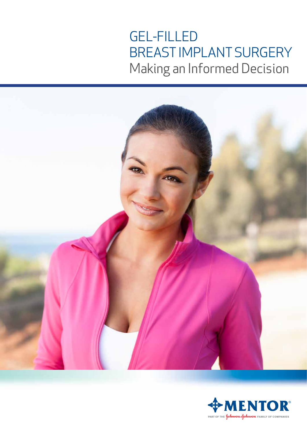# GEL-FILLED BREAST IMPLANT SURGERY Making an Informed Decision



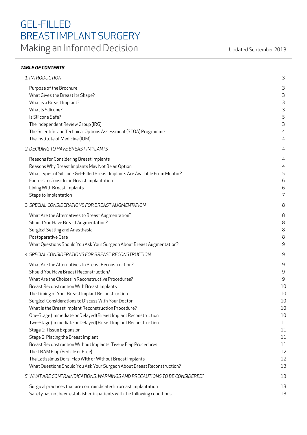## GEL-FILLED BREAST IMPLANT SURGERY Making an Informed Decision Updated September 2013

| 1. INTRODUCTION                                                              | 3              |
|------------------------------------------------------------------------------|----------------|
| Purpose of the Brochure                                                      | 3              |
| What Gives the Breast Its Shape?                                             | 3              |
| What is a Breast Implant?                                                    | 3              |
| What is Silicone?                                                            | 3              |
| Is Silicone Safe?                                                            | 5              |
| The Independent Review Group (IRG)                                           | 3              |
| The Scientific and Technical Options Assessment (STOA) Programme             | 4              |
| The Institute of Medicine (IOM)                                              | 4              |
| 2. DECIDING TO HAVE BREAST IMPLANTS                                          | 4              |
| Reasons for Considering Breast Implants                                      | 4              |
| Reasons Why Breast Implants May Not Be an Option                             | 4              |
| What Types of Silicone Gel-Filled Breast Implants Are Available From Mentor? | 5              |
| Factors to Consider in Breast Implantation                                   | 6              |
| Living With Breast Implants                                                  | 6              |
| Steps to Implantation                                                        | $\overline{7}$ |
| 3. SPECIAL CONSIDERATIONS FOR BREAST AUGMENTATION                            | 8              |
| What Are the Alternatives to Breast Augmentation?                            | 8              |
| Should You Have Breast Augmentation?                                         | 8              |
| Surgical Setting and Anesthesia                                              | 8              |
| Postoperative Care                                                           | 8              |
| What Questions Should You Ask Your Surgeon About Breast Augmentation?        | 9              |
| 4. SPECIAL CONSIDERATIONS FOR BREAST RECONSTRUCTION                          | 9              |
| What Are the Alternatives to Breast Reconstruction?                          | 9              |
| Should You Have Breast Reconstruction?                                       | 9              |
| What Are the Choices in Reconstructive Procedures?                           | 9              |
| Breast Reconstruction With Breast Implants                                   | 10             |
| The Timing of Your Breast Implant Reconstruction                             | 10             |
| Surgical Considerations to Discuss With Your Doctor                          | 10             |
| What Is the Breast Implant Reconstruction Procedure?                         | 10             |
| One-Stage (Immediate or Delayed) Breast Implant Reconstruction               | 10             |
| Two-Stage (Immediate or Delayed) Breast Implant Reconstruction               | 11             |
| Stage 1: Tissue Expansion                                                    | 11             |
| Stage 2: Placing the Breast Implant                                          | 11             |
| Breast Reconstruction Without Implants: Tissue Flap Procedures               | 11             |
| The TRAM Flap (Pedicle or Free)                                              | 12             |
| The Latissimus Dorsi Flap With or Without Breast Implants                    | 12             |
| What Questions Should You Ask Your Surgeon About Breast Reconstruction?      | 13             |
| 5. WHAT ARE CONTRAINDICATIONS, WARNINGS AND PRECAUTIONS TO BE CONSIDERED?    | 13             |
| Surgical practices that are contraindicated in breast implantation           | 13             |
| Safety has not been established in patients with the following conditions    | 13             |
|                                                                              |                |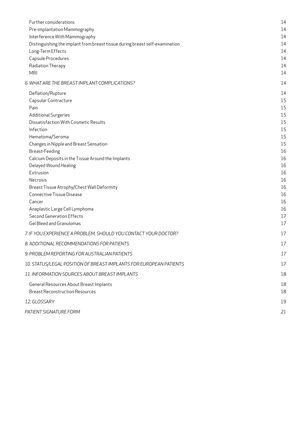| Further considerations                                                       | 14       |
|------------------------------------------------------------------------------|----------|
| Pre-implantation Mammography                                                 | 14       |
| Interference With Mammography                                                | 14       |
| Distinguishing the implant from breast tissue during breast self-examination | 14       |
| Long-Term Effects                                                            | 14       |
| Capsule Procedures                                                           | 14       |
| Radiation Therapy                                                            | 14       |
| <b>MRI</b>                                                                   | 14       |
| 6. WHAT ARE THE BREAST IMPLANT COMPLICATIONS?                                | 14       |
| Deflation/Rupture                                                            | 14       |
| Capsular Contracture                                                         | 15       |
| Pain                                                                         | 15       |
| <b>Additional Surgeries</b>                                                  | 15       |
| Dissatisfaction With Cosmetic Results                                        | 15       |
| Infection                                                                    | 15       |
| Hematoma/Seroma                                                              | 15       |
| Changes in Nipple and Breast Sensation                                       | 15       |
| Breast-Feeding                                                               | 16       |
| Calcium Deposits in the Tissue Around the Implants<br>Delayed Wound Healing  | 16<br>16 |
| Extrusion                                                                    | 16       |
| Necrosis                                                                     | 16       |
| Breast Tissue Atrophy/Chest Wall Deformity                                   | 16       |
| <b>Connective Tissue Disease</b>                                             | 16       |
| Cancer                                                                       | 16       |
| Anaplastic Large Cell Lymphoma                                               | 16       |
| <b>Second Generation Effects</b>                                             | 17       |
| Gel Bleed and Granulomas                                                     | 17       |
| 7. IF YOU EXPERIENCE A PROBLEM, SHOULD YOU CONTACT YOUR DOCTOR?              | 17       |
| 8. ADDITIONAL RECOMMENDATIONS FOR PATIENTS                                   | 17       |
| 9. PROBLEM REPORTING FOR AUSTRALIAN PATIENTS                                 | 17       |
| 10. STATUS/LEGAL POSITION OF BREAST IMPLANTS FOR EUROPEAN PATIENTS           | 17       |
| 11. INFORMATION SOURCES ABOUT BREAST IMPLANTS                                | 18       |
| General Resources About Breast Implants                                      | 18       |
| <b>Breast Reconstruction Resources</b>                                       | 18       |
|                                                                              |          |
| 12. GLOSSARY                                                                 | 19       |
| PATIENT SIGNATURE FORM                                                       | 21       |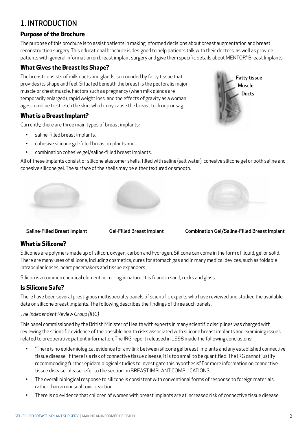## 1. INTRODUCTION

#### **Purpose of the Brochure**

The purpose of this brochure is to assist patients in making informed decisions about breast augmentation and breast reconstruction surgery. This educational brochure is designed to help patients talk with their doctors, as well as provide patients with general information on breast implant surgery and give them specific details about MENTOR® Breast Implants.

#### **What Gives the Breast Its Shape?**

The breast consists of milk ducts and glands, surrounded by fatty tissue that provides its shape and feel. Situated beneath the breast is the pectoralis major muscle or chest muscle. Factors such as pregnancy (when milk glands are temporarily enlarged), rapid weight loss, and the effects of gravity as a woman ages combine to stretch the skin, which may cause the breast to droop or sag.

#### **What is a Breast Implant?**

Currently, there are three main types of breast implants:

- saline-filled breast implants,
- cohesive silicone gel-filled breast implants and
- combination cohesive gel/saline-filled breast implants.

All of these implants consist of silicone elastomer shells, filled with saline (salt water), cohesive silicone gel or both saline and cohesive silicone gel. The surface of the shells may be either textured or smooth.

Saline-Filled Breast Implant Gel-Filled Breast Implant Combination Gel/Saline-Filled Breast Implant

#### **What is Silicone?**

Silicones are polymers made up of silicon, oxygen, carbon and hydrogen. Silicone can come in the form of liquid, gel or solid. There are many uses of silicone, including cosmetics, cures for stomach gas and in many medical devices, such as foldable intraocular lenses, heart pacemakers and tissue expanders.

Silicon is a common chemical element occurring in nature. It is found in sand, rocks and glass.

#### **Is Silicone Safe?**

There have been several prestigious multispecialty panels of scientific experts who have reviewed and studied the available data on silicone breast implants. The following describes the findings of three such panels.

#### *The Independent Review Group (IRG)*

This panel commissioned by the British Minister of Health with experts in many scientific disciplines was charged with reviewing the scientific evidence of the possible health risks associated with silicone breast implants and examining issues related to preoperative patient information. The IRG report released in 1998 made the following conclusions:

- "There is no epidemiological evidence for any link between silicone gel breast implants and any established connective tissue disease. If there is a risk of connective tissue disease, it is too small to be quantified. The IRG cannot justify recommending further epidemiological studies to investigate this hypothesis." For more information on connective tissue disease, please refer to the section on BREAST IMPLANT COMPLICATIONS.
- The overall biological response to silicone is consistent with conventional forms of response to foreign materials, rather than an unusual toxic reaction.
- There is no evidence that children of women with breast implants are at increased risk of connective tissue disease.



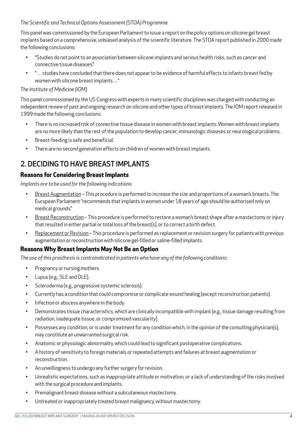#### *The Scientific and Technical Options Assessment (STOA) Programme*

This panel was commissioned by the European Parliament to issue a report on the policy options on silicone gel breast implants based on a comprehensive, unbiased analysis of the scientific literature. The STOA report published in 2000 made the following conclusions:

- "Studies do not point to an association between silicone implants and serious health risks, such as cancer and connective tissue diseases."
- "… studies have concluded that there does not appear to be evidence of harmful effects to infants breast fed by women with silicone breast implants …"

#### *The Institute of Medicine (IOM)*

This panel commissioned by the US Congress with experts in many scientific disciplines was charged with conducting an independent review of past and ongoing research on silicone and other types of breast implants. The IOM report released in 1999 made the following conclusions:

- There is no increased risk of connective tissue disease in women with breast implants. Women with breast implants are no more likely than the rest of the population to develop cancer, immunologic diseases or neurological problems.
- Breast-feeding is safe and beneficial.
- There are no second generation effects on children of women with breast implants.

## 2. DECIDING TO HAVE BREAST IMPLANTS

#### **Reasons for Considering Breast Implants**

*Implants are to be used for the following indications:*

- Breast Augmentation This procedure is performed to increase the size and proportions of a woman's breasts. The European Parliament "recommends that implants in women under 18 years of age should be authorised only on medical grounds."
- Breast Reconstruction This procedure is performed to restore a woman's breast shape after a mastectomy or injury that resulted in either partial or total loss of the breast(s), or to correct a birth defect.
- Replacement or Revision This procedure is performed as replacement or revision surgery for patients with previous augmentation or reconstruction with silicone gel-filled or saline-filled implants.

#### **Reasons Why Breast Implants May Not Be an Option**

*The use of this prosthesis is contraindicated in patients who have any of the following conditions:*

- Pregnancy or nursing mothers.
- Lupus (e.g., SLE and DLE).
- Scleroderma (e.g., progressive systemic sclerosis).
- Currently has a condition that could compromise or complicate wound healing (except reconstruction patients).
- Infection or abscess anywhere in the body.
- Demonstrates tissue characteristics, which are clinically incompatible with implant (e.g., tissue damage resulting from radiation, inadequate tissue, or compromised vascularity).
- Possesses any condition, or is under treatment for any condition which, in the opinion of the consulting physician(s), may constitute an unwarranted surgical risk.
- Anatomic or physiologic abnormality, which could lead to significant postoperative complications.
- A history of sensitivity to foreign materials or repeated attempts and failures at breast augmentation or reconstruction.
- An unwillingness to undergo any further surgery for revision.
- Unrealistic expectations, such as inappropriate attitude or motivation, or a lack of understanding of the risks involved with the surgical procedure and implants.
- Premalignant breast disease without a subcutaneous mastectomy.
- Untreated or inappropriately treated breast malignancy, without mastectomy.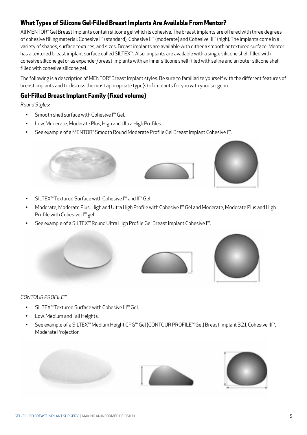#### **What Types of Silicone Gel-Filled Breast Implants Are Available From Mentor?**

All MENTOR® Gel Breast Implants contain silicone gel which is cohesive. The breast implants are offered with three degrees of cohesive filling material: Cohesive I™ (standard), Cohesive II™ (moderate) and Cohesive III™ (high). The implants come in a variety of shapes, surface textures, and sizes. Breast implants are available with either a smooth or textured surface. Mentor has a textured breast implant surface called SILTEX™. Also, implants are available with a single silicone shell filled with cohesive silicone gel or as expander/breast implants with an inner silicone shell filled with saline and an outer silicone shell filled with cohesive silicone gel.

The following is a description of MENTOR® Breast Implant styles. Be sure to familiarize yourself with the different features of breast implants and to discuss the most appropriate type(s) of implants for you with your surgeon.

#### **Gel-Filled Breast Implant Family (fixed volume)**

*Round Styles:*

- Smooth shell surface with Cohesive I™ Gel.
- Low, Moderate, Moderate Plus, High and Ultra High Profiles.
- See example of a MENTOR® Smooth Round Moderate Profile Gel Breast Implant Cohesive I™.



- SILTEX™ Textured Surface with Cohesive I™ and II™ Gel.
- Moderate, Moderate Plus, High and Ultra High Profile with Cohesive I™ Gel and Moderate, Moderate Plus and High Profile with Cohesive II™ gel.
- See example of a SILTEX™ Round Ultra High Profile Gel Breast Implant Cohesive I™.





#### *CONTOUR PROFILE™:*

- SILTEX™ Textured Surface with Cohesive III™ Gel.
- Low, Medium and Tall Heights.
- See example of a SILTEX™ Medium Height CPG™ Gel (CONTOUR PROFILE™ Gel) Breast Implant 321 Cohesive III™, Moderate Projection



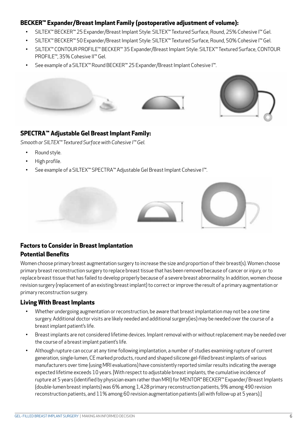#### **BECKER™ Expander/Breast Implant Family (postoperative adjustment of volume):**

- SILTEX™ BECKER™ 25 Expander/Breast Implant Style: SILTEX™ Textured Surface, Round, 25% Cohesive I™ Gel.
- SILTEX™ BECKER™ 50 Expander/Breast Implant Style: SILTEX™ Textured Surface, Round, 50% Cohesive I™ Gel.
- SILTEX™ CONTOUR PROFILE™ BECKER™ 35 Expander/Breast Implant Style: SILTEX™ Textured Surface, CONTOUR PROFILE™, 35% Cohesive II™ Gel.
- See example of a SILTEX™ Round BECKER™ 25 Expander/Breast Implant Cohesive I™.





#### **SPECTRA™ Adjustable Gel Breast Implant Family:**

*Smooth or SILTEX™ Textured Surface with Cohesive I™ Gel.*

- Round style.
- High profile.
- See example of a SILTEX™ SPECTRA™ Adjustable Gel Breast Implant Cohesive I™.





#### **Factors to Consider in Breast Implantation Potential Benefits**

Women choose primary breast augmentation surgery to increase the size and proportion of their breast(s). Women choose primary breast reconstruction surgery to replace breast tissue that has been removed because of cancer or injury, or to replace breast tissue that has failed to develop properly because of a severe breast abnormality. In addition, women choose revision surgery (replacement of an existing breast implant) to correct or improve the result of a primary augmentation or primary reconstruction surgery.

#### **Living With Breast Implants**

- Whether undergoing augmentation or reconstruction, be aware that breast implantation may not be a one time surgery. Additional doctor visits are likely needed and additional surgery(ies) may be needed over the course of a breast implant patient's life.
- Breast implants are not considered lifetime devices. Implant removal with or without replacement may be needed over the course of a breast implant patient's life.
- Although rupture can occur at any time following implantation, a number of studies examining rupture of current generation, single-lumen, CE marked products, round and shaped silicone gel-filled breast implants of various manufacturers over time (using MRI evaluations) have consistently reported similar results indicating the average expected lifetime exceeds 10 years. [With respect to adjustable breast implants, the cumulative incidence of rupture at 5 years (identified by physician exam rather than MRI) for MENTOR® BECKER™ Expander/Breast Implants (double-lumen breast implants) was 6% among 1,428 primary reconstruction patients, 9% among 490 revision reconstruction patients, and 11% among 60 revision augmentation patients (all with follow-up at 5 years).]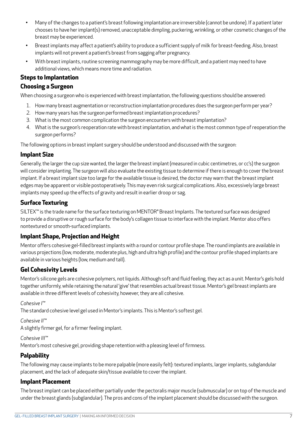- Many of the changes to a patient's breast following implantation are irreversible (cannot be undone). If a patient later chooses to have her implant(s) removed, unacceptable dimpling, puckering, wrinkling, or other cosmetic changes of the breast may be experienced.
- Breast implants may affect a patient's ability to produce a sufficient supply of milk for breast-feeding. Also, breast implants will not prevent a patient's breast from sagging after pregnancy.
- With breast implants, routine screening mammography may be more difficult, and a patient may need to have additional views, which means more time and radiation.

#### **Steps to Implantation**

#### **Choosing a Surgeon**

When choosing a surgeon who is experienced with breast implantation, the following questions should be answered:

- 1. How many breast augmentation or reconstruction implantation procedures does the surgeon perform per year?
- 2. How many years has the surgeon performed breast implantation procedures?
- 3. What is the most common complication the surgeon encounters with breast implantation?
- 4. What is the surgeon's reoperation rate with breast implantation, and what is the most common type of reoperation the surgeon performs?

The following options in breast implant surgery should be understood and discussed with the surgeon:

#### **Implant Size**

Generally, the larger the cup size wanted, the larger the breast implant (measured in cubic centimetres, or cc's) the surgeon will consider implanting. The surgeon will also evaluate the existing tissue to determine if there is enough to cover the breast implant. If a breast implant size too large for the available tissue is desired, the doctor may warn that the breast implant edges may be apparent or visible postoperatively. This may even risk surgical complications. Also, excessively large breast implants may speed up the effects of gravity and result in earlier droop or sag.

#### **Surface Texturing**

SILTEX<sup>™</sup> is the trade name for the surface texturing on MENTOR® Breast Implants. The textured surface was designed to provide a disruptive or rough surface for the body's collagen tissue to interface with the implant. Mentor also offers nontextured or smooth-surfaced implants.

#### **Implant Shape, Projection and Height**

Mentor offers cohesive gel-filled breast implants with a round or contour profile shape. The round implants are available in various projections (low, moderate, moderate plus, high and ultra high profile) and the contour profile shaped implants are available in various heights (low, medium and tall).

#### **Gel Cohesivity Levels**

Mentor's silicone gels are cohesive polymers, not liquids. Although soft and fluid feeling, they act as a unit. Mentor's gels hold together uniformly, while retaining the natural 'give' that resembles actual breast tissue. Mentor's gel breast implants are available in three different levels of cohesivity, however, they are all cohesive.

#### *Cohesive I™*

The standard cohesive level gel used in Mentor's implants. This is Mentor's softest gel.

#### *Cohesive II™*

A slightly firmer gel, for a firmer feeling implant.

#### *Cohesive III™*

Mentor's most cohesive gel, providing shape retention with a pleasing level of firmness.

#### **Palpability**

The following may cause implants to be more palpable (more easily felt): textured implants, larger implants, subglandular placement, and the lack of adequate skin/tissue available to cover the implant.

#### **Implant Placement**

The breast implant can be placed either partially under the pectoralis major muscle (submuscular) or on top of the muscle and under the breast glands (subglandular). The pros and cons of the implant placement should be discussed with the surgeon.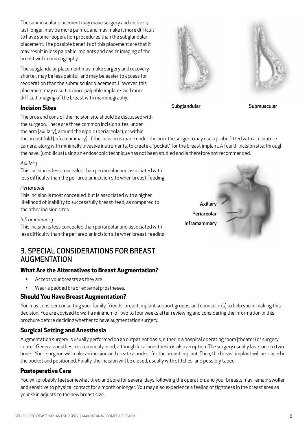GEL- FILLED BREAST IMPLANT SURGERY | MAKING AN INFORMED DECISION 8

The submuscular placement may make surgery and recovery last longer, may be more painful, and may make it more difficult to have some reoperation procedures than the subglandular placement. The possible benefits of this placement are that it may result in less palpable implants and easier imaging of the breast with mammography.

The subglandular placement may make surgery and recovery shorter, may be less painful, and may be easier to access for reoperation than the submuscular placement. However, this placement may result in more palpable implants and more difficult imaging of the breast with mammography.

#### **Incision Sites**

The pros and cons of the incision site should be discussed with the surgeon. There are three common incision sites: under the arm (axillary), around the nipple (periareolar), or within

the breast fold (inframammary). If the incision is made under the arm, the surgeon may use a probe fitted with a miniature camera, along with minimally invasive instruments, to create a "pocket" for the breast implant. A fourth incision site: through the navel (umbilicus) using an endoscopic technique has not been studied and is therefore not recommended.

#### *Axillary*

This incision is less concealed than periareolar and associated with less difficulty than the periareolar incision site when breast-feeding.

#### *Periareolar*

This incision is most concealed, but is associated with a higher likelihood of inability to successfully breast-feed, as compared to the other incision sites.

#### *Inframammary*

This incision is less concealed than periareolar and associated with less difficulty than the periareolar incision site when breast-feeding.

## 3. SPECIAL CONSIDERATIONS FOR BREAST AUGMENTATION

#### **What Are the Alternatives to Breast Augmentation?**

- Accept your breasts as they are.
- Wear a padded bra or external prostheses.

#### **Should You Have Breast Augmentation?**

You may consider consulting your family, friends, breast implant support groups, and counselor(s) to help you in making this decision. You are advised to wait a minimum of two to four weeks after reviewing and considering the information in this brochure before deciding whether to have augmentation surgery.

#### **Surgical Setting and Anesthesia**

Augmentation surgery is usually performed on an outpatient basis, either in a hospital operating room (theater) or surgery center. Generalanesthesia is commonly used, although local anesthesia is also an option. The surgery usually lasts one to two hours. Your surgeon will make an incision and create a pocket for the breast implant. Then, the breast implant will be placed in the pocket and positioned. Finally, the incision will be closed, usually with stitches, and possibly taped.

#### **Postoperative Care**

You will probably feel somewhat tired and sore for several days following the operation, and your breasts may remain swollen and sensitive to physical contact for a month or longer. You may also experience a feeling of tightness in the breast area as your skin adjusts to the new breast size.



Subglandular Submuscular



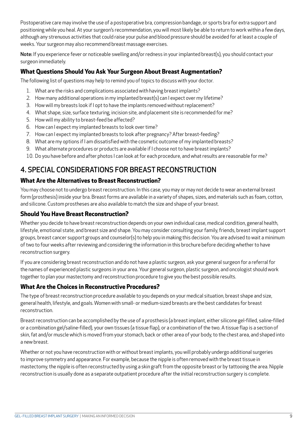Postoperative care may involve the use of a postoperative bra, compression bandage, or sports bra for extra support and positioning while you heal. At your surgeon's recommendation, you will most likely be able to return to work within a few days, although any strenuous activities that could raise your pulse and blood pressure should be avoided for at least a couple of weeks. Your surgeon may also recommend breast massage exercises.

Note: If you experience fever or noticeable swelling and/or redness in your implanted breast(s), you should contact your surgeon immediately.

#### **What Questions Should You Ask Your Surgeon About Breast Augmentation?**

The following list of questions may help to remind you of topics to discuss with your doctor.

- 1. What are the risks and complications associated with having breast implants?
- 2. How many additional operations in my implanted breast(s) can I expect over my lifetime?
- 3. How will my breasts look if I opt to have the implants removed without replacement?
- 4. What shape, size, surface texturing, incision site, and placement site is recommended for me?
- 5. How will my ability to breast-feed be affected?
- 6. How can I expect my implanted breasts to look over time?
- 7. How can I expect my implanted breasts to look after pregnancy? After breast-feeding?
- 8. What are my options if I am dissatisfied with the cosmetic outcome of my implanted breasts?
- 9. What alternate procedures or products are available if I choose not to have breast implants?
- 10. Do you have before and after photos I can look at for each procedure, and what results are reasonable for me?

## 4. SPECIAL CONSIDERATIONS FOR BREAST RECONSTRUCTION

#### **What Are the Alternatives to Breast Reconstruction?**

You may choose not to undergo breast reconstruction. In this case, you may or may not decide to wear an external breast form (prosthesis) inside your bra. Breast forms are available in a variety of shapes, sizes, and materials such as foam, cotton, and silicone. Custom prostheses are also available to match the size and shape of your breast.

#### **Should You Have Breast Reconstruction?**

Whether you decide to have breast reconstruction depends on your own individual case, medical condition, general health, lifestyle, emotional state, and breast size and shape. You may consider consulting your family, friends, breast implant support groups, breast cancer support groups and counselor(s) to help you in making this decision. You are advised to wait a minimum of two to four weeks after reviewing and considering the information in this brochure before deciding whether to have reconstruction surgery.

If you are considering breast reconstruction and do not have a plastic surgeon, ask your general surgeon for a referral for the names of experienced plastic surgeons in your area. Your general surgeon, plastic surgeon, and oncologist should work together to plan your mastectomy and reconstruction procedure to give you the best possible results.

#### **What Are the Choices in Reconstructive Procedures?**

The type of breast reconstruction procedure available to you depends on your medical situation, breast shape and size, general health, lifestyle, and goals. Women with small- or medium-sized breasts are the best candidates for breast reconstruction.

Breast reconstruction can be accomplished by the use of a prosthesis (a breast implant, either silicone gel-filled, saline-filled or a combination gel/saline-filled), your own tissues (a tissue flap), or a combination of the two. A tissue flap is a section of skin, fat and/or muscle which is moved from your stomach, back or other area of your body, to the chest area, and shaped into a new breast.

Whether or not you have reconstruction with or without breast implants, you will probably undergo additional surgeries to improve symmetry and appearance. For example, because the nipple is often removed with the breast tissue in mastectomy, the nipple is often reconstructed by using a skin graft from the opposite breast or by tattooing the area. Nipple reconstruction is usually done as a separate outpatient procedure after the initial reconstruction surgery is complete.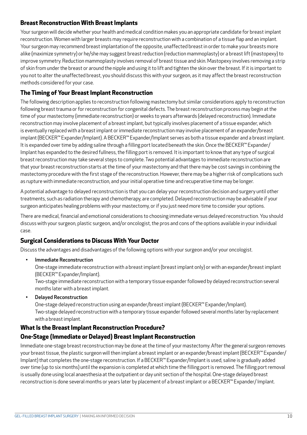#### **Breast Reconstruction With Breast Implants**

Your surgeon will decide whether your health and medical condition makes you an appropriate candidate for breast implant reconstruction. Women with larger breasts may require reconstruction with a combination of a tissue flap and an implant. Your surgeon may recommend breast implantation of the opposite, unaffected breast in order to make your breasts more alike (maximize symmetry) or he/she may suggest breast reduction (reduction mammoplasty) or a breast lift (mastopexy) to improve symmetry. Reduction mammoplasty involves removal of breast tissue and skin. Mastopexy involves removing a strip of skin from under the breast or around the nipple and using it to lift and tighten the skin over the breast. If it is important to you not to alter the unaffected breast, you should discuss this with your surgeon, as it may affect the breast reconstruction methods considered for your case.

#### **The Timing of Your Breast Implant Reconstruction**

The following description applies to reconstruction following mastectomy but similar considerations apply to reconstruction following breast trauma or for reconstruction for congenital defects. The breast reconstruction process may begin at the time of your mastectomy (immediate reconstruction) or weeks to years afterwards (delayed reconstruction). Immediate reconstruction may involve placement of a breast implant, but typically involves placement of a tissue expander, which is eventually replaced with a breast implant or immediate reconstruction may involve placement of an expander/breast implant (BECKER™ Expander/Implant). A BECKER™ Expander/Implant serves as both a tissue expander and a breast implant. It is expanded over time by adding saline through a filling port located beneath the skin. Once the BECKER™ Expander/ Implant has expanded to the desired fullness, the filling port is removed. It is important to know that any type of surgical breast reconstruction may take several steps to complete. Two potential advantages to immediate reconstruction are that your breast reconstruction starts at the time of your mastectomy and that there may be cost savings in combining the mastectomy procedure with the first stage of the reconstruction. However, there may be a higher risk of complications such as rupture with immediate reconstruction, and your initial operative time and recuperative time may be longer.

A potential advantage to delayed reconstruction is that you can delay your reconstruction decision and surgery until other treatments, such as radiation therapy and chemotherapy, are completed. Delayed reconstruction may be advisable if your surgeon anticipates healing problems with your mastectomy, or if you just need more time to consider your options.

There are medical, financial and emotional considerations to choosing immediate versus delayed reconstruction. You should discuss with your surgeon, plastic surgeon, and/or oncologist, the pros and cons of the options available in your individual case.

#### **Surgical Considerations to Discuss With Your Doctor**

Discuss the advantages and disadvantages of the following options with your surgeon and/or your oncologist.

• Immediate Reconstruction

One-stage immediate reconstruction with a breast implant (breast implant only) or with an expander/breast implant (BECKER™ Expander/Implant).

Two-stage immediate reconstruction with a temporary tissue expander followed by delayed reconstruction several months later with a breast implant.

• Delayed Reconstruction One-stage delayed reconstruction using an expander/breast implant (BECKER™ Expander/Implant). Two-stage delayed reconstruction with a temporary tissue expander followed several months later by replacement with a breast implant.

#### **What Is the Breast Implant Reconstruction Procedure?**

#### **One-Stage (Immediate or Delayed) Breast Implant Reconstruction**

Immediate one-stage breast reconstruction may be done at the time of your mastectomy. After the general surgeon removes your breast tissue, the plastic surgeon will then implant a breast implant or an expander/breast implant (BECKER™ Expander/ Implant) that completes the one-stage reconstruction. If a BECKER™ Expander/Implant is used, saline is gradually added over time (up to six months) until the expansion is completed at which time the filling port is removed. The filling port removal is usually done using local anaesthesia at the outpatient or day unit section of the hospital. One-stage delayed breast reconstruction is done several months or years later by placement of a breast implant or a BECKER™ Expander/ Implant.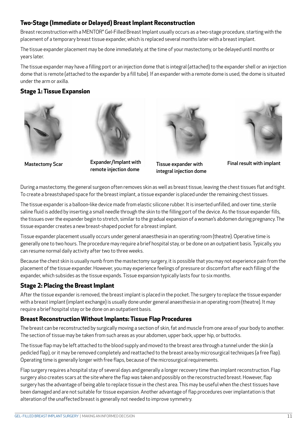#### **Two-Stage (Immediate or Delayed) Breast Implant Reconstruction**

Breast reconstruction with a MENTOR<sup>®</sup> Gel-Filled Breast Implant usually occurs as a two-stage procedure, starting with the placement of a temporary breast tissue expander, which is replaced several months later with a breast implant.

The tissue expander placement may be done immediately, at the time of your mastectomy, or be delayed until months or years later.

The tissue expander may have a filling port or an injection dome that is integral (attached) to the expander shell or an injection dome that is remote (attached to the expander by a fill tube). If an expander with a remote dome is used, the dome is situated under the arm or axilla.

#### **Stage 1: Tissue Expansion**





Mastectomy Scar Expander/Implant with remote injection dome



Tissue expander with integral injection dome



Final result with implant

During a mastectomy, the general surgeon often removes skin as well as breast tissue, leaving the chest tissues flat and tight. To create a breastshaped space for the breast implant, a tissue expander is placed under the remaining chest tissues.

The tissue expander is a balloon-like device made from elastic silicone rubber. It is inserted unfilled, and over time, sterile saline fluid is added by inserting a small needle through the skin to the filling port of the device. As the tissue expander fills, the tissues over the expander begin to stretch, similar to the gradual expansion of a woman's abdomen during pregnancy. The tissue expander creates a new breast-shaped pocket for a breast implant.

Tissue expander placement usually occurs under general anaesthesia in an operating room (theatre). Operative time is generally one to two hours. The procedure may require a brief hospital stay, or be done on an outpatient basis. Typically, you can resume normal daily activity after two to three weeks.

Because the chest skin is usually numb from the mastectomy surgery, it is possible that you may not experience pain from the placement of the tissue expander. However, you may experience feelings of pressure or discomfort after each filling of the expander, which subsides as the tissue expands. Tissue expansion typically lasts four to six months.

#### **Stage 2: Placing the Breast Implant**

After the tissue expander is removed, the breast implant is placed in the pocket. The surgery to replace the tissue expander with a breast implant (implant exchange) is usually done under general anaesthesia in an operating room (theatre). It may require a brief hospital stay or be done on an outpatient basis.

#### **Breast Reconstruction Without Implants: Tissue Flap Procedures**

The breast can be reconstructed by surgically moving a section of skin, fat and muscle from one area of your body to another. The section of tissue may be taken from such areas as your abdomen, upper back, upper hip, or buttocks.

The tissue flap may be left attached to the blood supply and moved to the breast area through a tunnel under the skin (a pedicled flap), or it may be removed completely and reattached to the breast area by microsurgical techniques (a free flap). Operating time is generally longer with free flaps, because of the microsurgical requirements.

Flap surgery requires a hospital stay of several days and generally a longer recovery time than implant reconstruction. Flap surgery also creates scars at the site where the flap was taken and possibly on the reconstructed breast. However, flap surgery has the advantage of being able to replace tissue in the chest area. This may be useful when the chest tissues have been damaged and are not suitable for tissue expansion. Another advantage of flap procedures over implantation is that alteration of the unaffected breast is generally not needed to improve symmetry.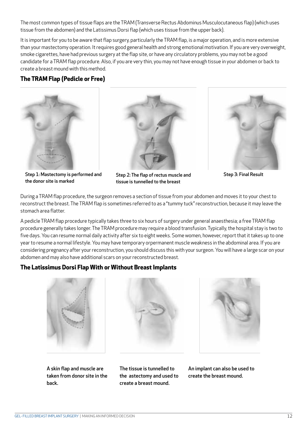The most common types of tissue flaps are the TRAM (Transverse Rectus Abdominus Musculocutaneous flap) (which uses tissue from the abdomen) and the Latissimus Dorsi flap (which uses tissue from the upper back).

It is important for you to be aware that flap surgery, particularly the TRAM flap, is a major operation, and is more extensive than your mastectomy operation. It requires good general health and strong emotional motivation. If you are very overweight, smoke cigarettes, have had previous surgery at the flap site, or have any circulatory problems, you may not be a good candidate for a TRAM flap procedure. Also, if you are very thin, you may not have enough tissue in your abdomen or back to create a breast mound with this method.

#### **The TRAM Flap (Pedicle or Free)**







Step 3: Final Result

Step 1: Mastectomy is performed and the donor site is marked

Step 2: The flap of rectus muscle and tissue is tunnelled to the breast

During a TRAM flap procedure, the surgeon removes a section of tissue from your abdomen and moves it to your chest to reconstruct the breast. The TRAM flap is sometimes referred to as a "tummy tuck" reconstruction, because it may leave the stomach area flatter.

A pedicle TRAM flap procedure typically takes three to six hours of surgery under general anaesthesia; a free TRAM flap procedure generally takes longer. The TRAM procedure may require a blood transfusion. Typically, the hospital stay is two to five days. You can resume normal daily activity after six to eight weeks. Some women, however, report that it takes up to one year to resume a normal lifestyle. You may have temporary orpermanent muscle weakness in the abdominal area. If you are considering pregnancy after your reconstruction, you should discuss this with your surgeon. You will have a large scar on your abdomen and may also have additional scars on your reconstructed breast.

#### **The Latissimus Dorsi Flap With or Without Breast Implants**







A skin flap and muscle are taken from donor site in the back.

The tissue is tunnelled to the astectomy and used to create a breast mound.

An implant can also be used to create the breast mound.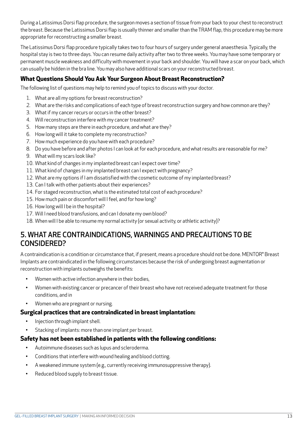During a Latissimus Dorsi flap procedure, the surgeon moves a section of tissue from your back to your chest to reconstruct the breast. Because the Latissimus Dorsi flap is usually thinner and smaller than the TRAM flap, this procedure may be more appropriate for reconstructing a smaller breast.

The Latissimus Dorsi flap procedure typically takes two to four hours of surgery under general anaesthesia. Typically, the hospital stay is two to three days. You can resume daily activity after two to three weeks. You may have some temporary or permanent muscle weakness and difficulty with movement in your back and shoulder. You will have a scar on your back, which can usually be hidden in the bra line. You may also have additional scars on your reconstructed breast.

#### **What Questions Should You Ask Your Surgeon About Breast Reconstruction?**

The following list of questions may help to remind you of topics to discuss with your doctor.

- 1. What are all my options for breast reconstruction?
- 2. What are the risks and complications of each type of breast reconstruction surgery and how common are they?
- 3. What if my cancer recurs or occurs in the other breast?
- 4. Will reconstruction interfere with my cancer treatment?
- 5. How many steps are there in each procedure, and what are they?
- 6. How long will it take to complete my reconstruction?
- 7. How much experience do you have with each procedure?
- 8. Do you have before and after photos I can look at for each procedure, and what results are reasonable for me?
- 9. What will my scars look like?
- 10. What kind of changes in my implanted breast can I expect over time?
- 11. What kind of changes in my implanted breast can I expect with pregnancy?
- 12. What are my options if I am dissatisfied with the cosmetic outcome of my implanted breast?
- 13. Can I talk with other patients about their experiences?
- 14. For staged reconstruction, what is the estimated total cost of each procedure?
- 15. How much pain or discomfort will I feel, and for how long?
- 16. How long will I be in the hospital?
- 17. Will I need blood transfusions, and can I donate my own blood?
- 18. When will I be able to resume my normal activity (or sexual activity, or athletic activity)?

### 5. WHAT ARE CONTRAINDICATIONS, WARNINGS AND PRECAUTIONS TO BE CONSIDERED?

A contraindication is a condition or circumstance that, if present, means a procedure should not be done. MENTOR® Breast Implants are contraindicated in the following circumstances because the risk of undergoing breast augmentation or reconstruction with implants outweighs the benefits:

- Women with active infection anywhere in their bodies,
- Women with existing cancer or precancer of their breast who have not received adequate treatment for those conditions, and in
- Women who are pregnant or nursing.

#### **Surgical practices that are contraindicated in breast implantation:**

- Injection through implant shell.
- Stacking of implants: more than one implant per breast.

#### **Safety has not been established in patients with the following conditions:**

- Autoimmune diseases such as lupus and scleroderma.
- Conditions that interfere with wound healing and blood clotting.
- A weakened immune system (e.g., currently receiving immunosuppressive therapy).
- Reduced blood supply to breast tissue.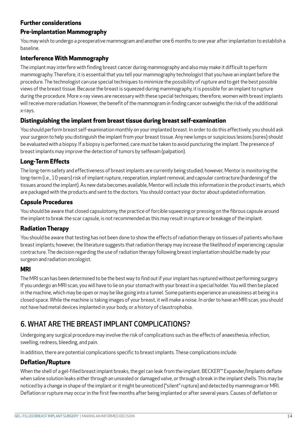#### **Further considerations**

#### **Pre-implantation Mammography**

You may wish to undergo a preoperative mammogram and another one 6 months to one year after implantation to establish a baseline.

#### **Interference With Mammography**

The implant may interfere with finding breast cancer during mammography and also may make it difficult to perform mammography. Therefore, it is essential that you tell your mammography technologist that you have an implant before the procedure. The technologist can use special techniques to minimize the possibility of rupture and to get the best possible views of the breast tissue. Because the breast is squeezed during mammography, it is possible for an implant to rupture during the procedure. More x-ray views are necessary with these special techniques; therefore, women with breast implants will receive more radiation. However, the benefit of the mammogram in finding cancer outweighs the risk of the additional x-rays.

#### **Distinguishing the implant from breast tissue during breast self-examination**

You should perform breast self-examination monthly on your implanted breast. In order to do this effectively, you should ask your surgeon to help you distinguish the implant from your breast tissue. Any new lumps or suspicious lesions (sores) should be evaluated with a biopsy. If a biopsy is performed, care must be taken to avoid puncturing the implant. The presence of breast implants may improve the detection of tumors by selfexam (palpation).

#### **Long-Term Effects**

The long-term safety and effectiveness of breast implants are currently being studied; however, Mentor is monitoring the long-term (i.e., 10 years) risk of implant rupture, reoperation, implant removal, and capsular contracture (hardening of the tissues around the implant). As new data becomes available, Mentor will include this information in the product inserts, which are packaged with the products and sent to the doctors. You should contact your doctor about updated information.

#### **Capsule Procedures**

You should be aware that closed capsulotomy, the practice of forcible squeezing or pressing on the fibrous capsule around the implant to break the scar capsule, is not recommended as this may result in rupture or breakage of the implant.

#### **Radiation Therapy**

You should be aware that testing has not been done to show the effects of radiation therapy on tissues of patients who have breast implants; however, the literature suggests that radiation therapy may increase the likelihood of experiencing capsular contracture. The decision regarding the use of radiation therapy following breast implantation should be made by your surgeon and radiation oncologist.

#### **MRI**

The MRI scan has been determined to be the best way to find out if your implant has ruptured without performing surgery. If you undergo an MRI scan, you will have to lie on your stomach with your breast in a special holder. You will then be placed in the machine, which may be open or may be like going into a tunnel. Some patients experience an uneasiness at being in a closed space. While the machine is taking images of your breast, it will make a noise. In order to have an MRI scan, you should not have had metal devices implanted in your body, or a history of claustrophobia.

## 6. WHAT ARE THE BREAST IMPLANT COMPLICATIONS?

Undergoing any surgical procedure may involve the risk of complications such as the effects of anaesthesia, infection, swelling, redness, bleeding, and pain.

In addition, there are potential complications specific to breast implants. These complications include:

#### **Deflation/Rupture**

When the shell of a gel-filled breast implant breaks, the gel can leak from the implant. BECKER™ Expander/Implants deflate when saline solution leaks either through an unsealed or damaged valve, or through a break in the implant shells. This may be noticed by a change in shape of the implant or it might be unnoticed ("silent" rupture) and detected by mammogram or MRI. Deflation or rupture may occur in the first few months after being implanted or after several years. Causes of deflation or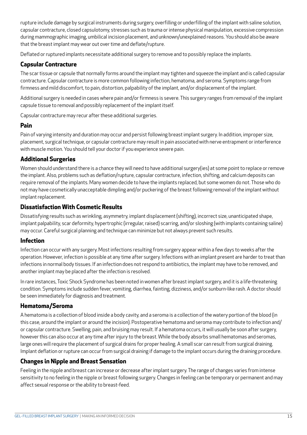rupture include damage by surgical instruments during surgery, overfilling or underfilling of the implant with saline solution, capsular contracture, closed capsulotomy, stresses such as trauma or intense physical manipulation, excessive compression during mammographic imaging, umbilical incision placement, and unknown/unexplained reasons. You should also be aware that the breast implant may wear out over time and deflate/rupture.

Deflated or ruptured implants necessitate additional surgery to remove and to possibly replace the implants.

#### **Capsular Contracture**

The scar tissue or capsule that normally forms around the implant may tighten and squeeze the implant and is called capsular contracture. Capsular contracture is more common following infection, hematoma, and seroma. Symptoms range from firmness and mild discomfort, to pain, distortion, palpability of the implant, and/or displacement of the implant.

Additional surgery is needed in cases where pain and/or firmness is severe. This surgery ranges from removal of the implant capsule tissue to removal and possibly replacement of the implant itself.

Capsular contracture may recur after these additional surgeries.

#### **Pain**

Pain of varying intensity and duration may occur and persist following breast implant surgery. In addition, improper size, placement, surgical technique, or capsular contracture may result in pain associated with nerve entrapment or interference with muscle motion. You should tell your doctor if you experience severe pain.

#### **Additional Surgeries**

Women should understand there is a chance they will need to have additional surgery(ies) at some point to replace or remove the implant. Also, problems such as deflation/rupture, capsular contracture, infection, shifting, and calcium deposits can require removal of the implants. Many women decide to have the implants replaced, but some women do not. Those who do not may have cosmetically unacceptable dimpling and/or puckering of the breast following removal of the implant without implant replacement.

#### **Dissatisfaction With Cosmetic Results**

Dissatisfying results such as wrinkling, asymmetry, implant displacement (shifting), incorrect size, unanticipated shape, implant palpability, scar deformity, hypertrophic (irregular, raised) scarring, and/or sloshing (with implants containing saline) may occur. Careful surgical planning and technique can minimize but not always prevent such results.

#### **Infection**

Infection can occur with any surgery. Most infections resulting from surgery appear within a few days to weeks after the operation. However, infection is possible at any time after surgery. Infections with an implant present are harder to treat than infections in normal body tissues. If an infection does not respond to antibiotics, the implant may have to be removed, and another implant may be placed after the infection is resolved.

In rare instances, Toxic Shock Syndrome has been noted in women after breast implant surgery, and it is a life-threatening condition. Symptoms include sudden fever, vomiting, diarrhea, fainting, dizziness, and/or sunburn-like rash. A doctor should be seen immediately for diagnosis and treatment.

#### **Hematoma/Seroma**

A hematoma is a collection of blood inside a body cavity, and a seroma is a collection of the watery portion of the blood (in this case, around the implant or around the incision). Postoperative hematoma and seroma may contribute to infection and/ or capsular contracture. Swelling, pain, and bruising may result. If a hematoma occurs, it will usually be soon after surgery, however this can also occur at any time after injury to the breast. While the body absorbs small hematomas and seromas, large ones will require the placement of surgical drains for proper healing. A small scar can result from surgical draining. Implant deflation or rupture can occur from surgical draining if damage to the implant occurs during the draining procedure.

#### **Changes in Nipple and Breast Sensation**

Feeling in the nipple and breast can increase or decrease after implant surgery. The range of changes varies from intense sensitivity to no feeling in the nipple or breast following surgery. Changes in feeling can be temporary or permanent and may affect sexual response or the ability to breast-feed.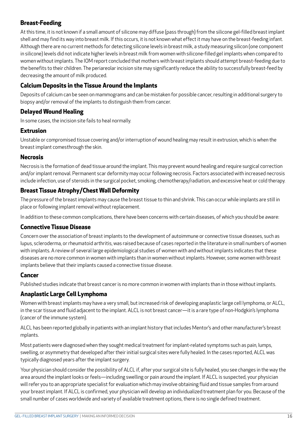#### **Breast-Feeding**

At this time, it is not known if a small amount of silicone may diffuse (pass through) from the silicone gel-filled breast implant shell and may find its way into breast milk. If this occurs, it is not known what effect it may have on the breast-feeding infant. Although there are no current methods for detecting silicone levels in breast milk, a study measuring silicon (one component in silicone) levels did not indicate higher levels in breast milk from women with silicone-filled gel implants when compared to women without implants. The IOM report concluded that mothers with breast implants should attempt breast-feeding due to the benefits to their children. The periareolar incision site may significantly reduce the ability to successfully breast-feed by decreasing the amount of milk produced.

#### **Calcium Deposits in the Tissue Around the Implants**

Deposits of calcium can be seen on mammograms and can be mistaken for possible cancer, resulting in additional surgery to biopsy and/or removal of the implants to distinguish them from cancer.

#### **Delayed Wound Healing**

In some cases, the incision site fails to heal normally.

#### **Extrusion**

Unstable or compromised tissue covering and/or interruption of wound healing may result in extrusion, which is when the breast implant comesthrough the skin.

#### **Necrosis**

Necrosis is the formation of dead tissue around the implant. This may prevent wound healing and require surgical correction and/or implant removal. Permanent scar deformity may occur following necrosis. Factors associated with increased necrosis include infection, use of steroids in the surgical pocket, smoking, chemotherapy/radiation, and excessive heat or cold therapy.

#### **Breast Tissue Atrophy/Chest Wall Deformity**

The pressure of the breast implants may cause the breast tissue to thin and shrink. This can occur while implants are still in place or following implant removal without replacement.

In addition to these common complications, there have been concerns with certain diseases, of which you should be aware:

#### **Connective Tissue Disease**

Concern over the association of breast implants to the development of autoimmune or connective tissue diseases, such as lupus, scleroderma, or rheumatoid arthritis, was raised because of cases reported in the literature in small numbers of women with implants. A review of several large epidemiological studies of women with and without implants indicates that these diseases are no more common in women with implants than in women without implants. However, some women with breast implants believe that their implants caused a connective tissue disease.

#### **Cancer**

Published studies indicate that breast cancer is no more common in women with implants than in those without implants.

#### **Anaplastic Large Cell Lymphoma**

Women with breast implants may have a very small, but increased risk of developing anaplastic large cell lymphoma, or ALCL, in the scar tissue and fluid adjacent to the implant. ALCL is not breast cancer—it is a rare type of non-Hodgkin's lymphoma (cancer of the immune system).

ALCL has been reported globally in patients with an implant history that includes Mentor's and other manufacturer's breast mplants.

Most patients were diagnosed when they sought medical treatment for implant-related symptoms such as pain, lumps, swelling, or asymmetry that developed after their initial surgical sites were fully healed. In the cases reported, ALCL was typically diagnosed years after the implant surgery.

Your physician should consider the possibility of ALCL if, after your surgical site is fully healed, you see changes in the way the area around the implant looks or feels—including swelling or pain around the implant. If ALCL is suspected, your physician will refer you to an appropriate specialist for evaluation which may involve obtaining fluid and tissue samples from around your breast implant. If ALCL is confirmed, your physician will develop an individualized treatment plan for you. Because of the small number of cases worldwide and variety of available treatment options, there is no single defined treatment.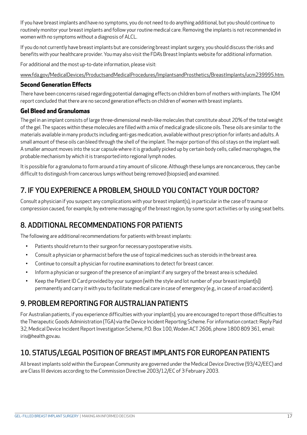If you have breast implants and have no symptoms, you do not need to do anything additional, but you should continue to routinely monitor your breast implants and follow your routine medical care. Removing the implants is not recommended in women with no symptoms without a diagnosis of ALCL.

If you do not currently have breast implants but are considering breast implant surgery, you should discuss the risks and benefits with your healthcare provider. You may also visit the FDA's Breast Implants website for additional information.

For additional and the most up-to-date information, please visit:

www.fda.gov/MedicalDevices/ProductsandMedicalProcedures/ImplantsandProsthetics/BreastImplants/ucm239995.htm.

#### **Second Generation Effects**

There have been concerns raised regarding potential damaging effects on children born of mothers with implants. The IOM report concluded that there are no second generation effects on children of women with breast implants.

#### **Gel Bleed and Granulomas**

The gel in an implant consists of large three-dimensional mesh-like molecules that constitute about 20% of the total weight of the gel. The spaces within these molecules are filled with a mix of medical grade silicone oils. These oils are similar to the materials available in many products including anti-gas medication, available without prescription for infants and adults. A small amount of these oils can bleed through the shell of the implant. The major portion of this oil stays on the implant wall. A smaller amount moves into the scar capsule where it is gradually picked up by certain body cells, called macrophages, the probable mechanism by which it is transported into regional lymph nodes.

It is possible for a granuloma to form around a tiny amount of silicone. Although these lumps are noncancerous, they can be difficult to distinguish from cancerous lumps without being removed (biopsied) and examined.

## 7. IF YOU EXPERIENCE A PROBLEM, SHOULD YOU CONTACT YOUR DOCTOR?

Consult a physician if you suspect any complications with your breast implant(s), in particular in the case of trauma or compression caused, for example, by extreme massaging of the breast region, by some sport activities or by using seat belts.

## 8. ADDITIONAL RECOMMENDATIONS FOR PATIENTS

The following are additional recommendations for patients with breast implants:

- Patients should return to their surgeon for necessary postoperative visits.
- Consult a physician or pharmacist before the use of topical medicines such as steroids in the breast area.
- Continue to consult a physician for routine examinations to detect for breast cancer.
- Inform a physician or surgeon of the presence of an implant if any surgery of the breast area is scheduled.
- Keep the Patient ID Card provided by your surgeon (with the style and lot number of your breast implant[s]) permanently and carry it with you to facilitate medical care in case of emergency (e.g., in case of a road accident).

## 9. PROBLEM REPORTING FOR AUSTRALIAN PATIENTS

For Australian patients, if you experience difficulties with your implant(s), you are encouraged to report those difficulties to the Therapeutic Goods Administration (TGA) via the Device Incident Reporting Scheme. For information contact: Reply Paid 32, Medical Device Incident Report Investigation Scheme, P.O. Box 100, Woden ACT 2606, phone 1800 809 361, email: iris@health.gov.au.

## 10. STATUS/LEGAL POSITION OF BREAST IMPLANTS FOR EUROPEAN PATIENTS

All breast implants sold within the European Community are governed under the Medical Device Directive (93/42/EEC) and are Class III devices according to the Commission Directive 2003/12/EC of 3 February 2003.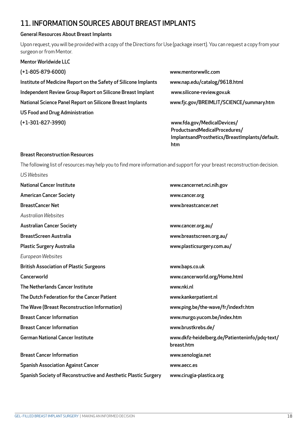## 11. INFORMATION SOURCES ABOUT BREAST IMPLANTS

#### General Resources About Breast Implants

Upon request, you will be provided with a copy of the Directions for Use (package insert). You can request a copy from your surgeon or from Mentor.

| <b>Mentor Worldwide LLC</b>                                     |                                                |
|-----------------------------------------------------------------|------------------------------------------------|
| $(+1-805-879-6000)$                                             | www.mentorwwllc.com                            |
| Institute of Medicine Report on the Safety of Silicone Implants | www.nap.edu/catalog/9618.html                  |
| Independent Review Group Report on Silicone Breast Implant      | www.silicone-review.gov.uk                     |
| National Science Panel Report on Silicone Breast Implants       | www.fjc.gov/BREIMLIT/SCIENCE/summary.htm       |
| <b>US Food and Drug Administration</b>                          |                                                |
| $(+1-301-827-3990)$                                             | www.fda.gov/MedicalDevices/                    |
|                                                                 | ProductsandMedicalProcedures/                  |
|                                                                 | ImplantsandProsthetics/BreastImplants/default. |

#### Breast Reconstruction Resources

The following list of resources may help you to find more information and support for your breast reconstruction decision.

htm

| <b>US Websites</b>                                              |                                                              |
|-----------------------------------------------------------------|--------------------------------------------------------------|
| <b>National Cancer Institute</b>                                | www.cancernet.nci.nih.gov                                    |
| <b>American Cancer Society</b>                                  | www.cancer.org                                               |
| <b>BreastCancer Net</b>                                         | www.breastcancer.net                                         |
| Australian Websites                                             |                                                              |
| <b>Australian Cancer Society</b>                                | www.cancer.org.au/                                           |
| <b>BreastScreen Australia</b>                                   | www.breastscreen.org.au/                                     |
| <b>Plastic Surgery Australia</b>                                | www.plasticsurgery.com.au/                                   |
| European Websites                                               |                                                              |
| <b>British Association of Plastic Surgeons</b>                  | www.baps.co.uk                                               |
| Cancerworld                                                     | www.cancerworld.org/Home.html                                |
| The Netherlands Cancer Institute                                | www.nki.nl                                                   |
| The Dutch Federation for the Cancer Patient                     | www.kankerpatient.nl                                         |
| The Wave (Breast Reconstruction Information)                    | www.ping.be/the-wave/fr/indexfr.htm                          |
| <b>Breast Cancer Information</b>                                | www.murgo.yucom.be/index.htm                                 |
| <b>Breast Cancer Information</b>                                | www.brustkrebs.de/                                           |
| <b>German National Cancer Institute</b>                         | www.dkfz-heidelberg.de/Patienteninfo/pdq-text/<br>breast.htm |
| <b>Breast Cancer Information</b>                                | www.senologia.net                                            |
| <b>Spanish Association Against Cancer</b>                       | www.aecc.es                                                  |
| Spanish Society of Reconstructive and Aesthetic Plastic Surgery | www.cirugia-plastica.org                                     |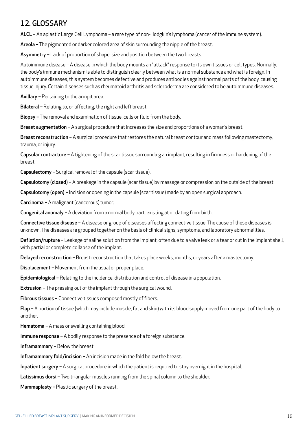## 12. GLOSSARY

ALCL – An aplastic Large Cell Lymphoma – a rare type of non-Hodgkin's lymphoma (cancer of the immune system).

Areola - The pigmented or darker colored area of skin surrounding the nipple of the breast.

Asymmetry - Lack of proportion of shape, size and position between the two breasts.

Autoimmune disease – A disease in which the body mounts an "attack" response to its own tissues or cell types. Normally, the body's immune mechanism is able to distinguish clearly between what is a normal substance and what is foreign. In autoimmune diseases, this system becomes defective and produces antibodies against normal parts of the body, causing tissue injury. Certain diseases such as rheumatoid arthritis and scleroderma are considered to be autoimmune diseases.

Axillary – Pertaining to the armpit area.

Bilateral - Relating to, or affecting, the right and left breast.

Biopsy - The removal and examination of tissue, cells or fluid from the body.

Breast augmentation - A surgical procedure that increases the size and proportions of a woman's breast.

Breast reconstruction - A surgical procedure that restores the natural breast contour and mass following mastectomy, trauma, or injury.

Capsular contracture - A tightening of the scar tissue surrounding an implant, resulting in firmness or hardening of the breast.

Capsulectomy – Surgical removal of the capsule (scar tissue).

Capsulotomy (closed) – A breakage in the capsule (scar tissue) by massage or compression on the outside of the breast.

Capsulotomy (open) – Incision or opening in the capsule (scar tissue) made by an open surgical approach.

Carcinoma – A malignant (cancerous) tumor.

Congenital anomaly – A deviation from a normal body part, existing at or dating from birth.

Connective tissue disease - A disease or group of diseases affecting connective tissue. The cause of these diseases is unknown. The diseases are grouped together on the basis of clinical signs, symptoms, and laboratory abnormalities.

Deflation/rupture - Leakage of saline solution from the implant, often due to a valve leak or a tear or cut in the implant shell, with partial or complete collapse of the implant.

Delayed reconstruction – Breast reconstruction that takes place weeks, months, or years after a mastectomy.

Displacement – Movement from the usual or proper place.

Epidemiological – Relating to the incidence, distribution and control of disease in a population.

Extrusion - The pressing out of the implant through the surgical wound.

Fibrous tissues - Connective tissues composed mostly of fibers.

Flap – A portion of tissue (which may include muscle, fat and skin) with its blood supply moved from one part of the body to another.

Hematoma – A mass or swelling containing blood.

Immune response – A bodily response to the presence of a foreign substance.

Inframammary – Below the breast.

Inframammary fold/incision – An incision made in the fold below the breast.

Inpatient surgery – A surgical procedure in which the patient is required to stay overnight in the hospital.

Latissimus dorsi - Two triangular muscles running from the spinal column to the shoulder.

Mammaplasty – Plastic surgery of the breast.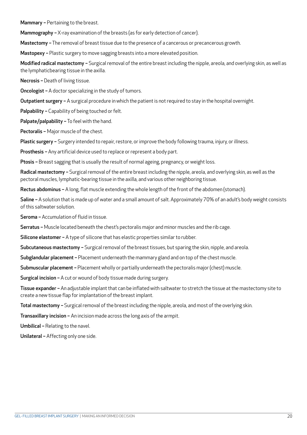Mammary – Pertaining to the breast.

Mammography - X-ray examination of the breasts (as for early detection of cancer).

Mastectomy - The removal of breast tissue due to the presence of a cancerous or precancerous growth.

Mastopexy - Plastic surgery to move sagging breasts into a more elevated position.

Modified radical mastectomy - Surgical removal of the entire breast including the nipple, areola, and overlying skin, as well as the lymphaticbearing tissue in the axilla.

Necrosis - Death of living tissue.

Oncologist – A doctor specializing in the study of tumors.

Outpatient surgery - A surgical procedure in which the patient is not required to stay in the hospital overnight.

Palpability - Capability of being touched or felt.

Palpate/palpability - To feel with the hand.

Pectoralis – Major muscle of the chest.

Plastic surgery - Surgery intended to repair, restore, or improve the body following trauma, injury, or illness.

Prosthesis – Any artificial device used to replace or represent a body part.

Ptosis - Breast sagging that is usually the result of normal ageing, pregnancy, or weight loss.

Radical mastectomy - Surgical removal of the entire breast including the nipple, areola, and overlying skin, as well as the pectoral muscles, lymphatic-bearing tissue in the axilla, and various other neighboring tissue.

Rectus abdominus - A long, flat muscle extending the whole length of the front of the abdomen (stomach).

Saline - A solution that is made up of water and a small amount of salt. Approximately 70% of an adult's body weight consists of this saltwater solution.

Seroma – Accumulation of fluid in tissue.

Serratus - Muscle located beneath the chest's pectoralis major and minor muscles and the rib cage.

Silicone elastomer - A type of silicone that has elastic properties similar to rubber.

Subcutaneous mastectomy - Surgical removal of the breast tissues, but sparing the skin, nipple, and areola.

Subglandular placement – Placement underneath the mammary gland and on top of the chest muscle.

Submuscular placement - Placement wholly or partially underneath the pectoralis major (chest) muscle.

Surgical incision – A cut or wound of body tissue made during surgery.

Tissue expander – An adjustable implant that can be inflated with saltwater to stretch the tissue at the mastectomy site to create a new tissue flap for implantation of the breast implant.

Total mastectomy - Surgical removal of the breast including the nipple, areola, and most of the overlying skin.

Transaxillary incision – An incision made across the long axis of the armpit.

Umbilical – Relating to the navel.

Unilateral – Affecting only one side.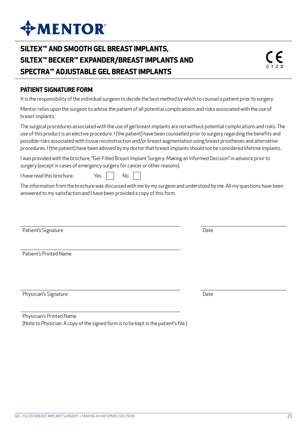## **SILTEX™ AND SMOOTH GEL BREAST IMPLANTS, SILTEX™ BECKER™ EXPANDER/BREAST IMPLANTS AND SPECTRA™ ADJUSTABLE GEL BREAST IMPLANTS**

#### **PATIENT SIGNATURE FORM**

It is the responsibility of the individual surgeon to decide the best method by which to counsel a patient prior to surgery.

Mentor relies upon the surgeon to advise the patient of all potential complications and risks associated with the use of breast implants.

The surgical procedures associated with the use of gel breast implants are not without potential complications and risks. The use of this product is an elective procedure. I (the patient) have been counselled prior to surgery regarding the benefits and possible risks associated with tissue reconstruction and/or breast augmentation using breast prostheses and alternative procedures. I (the patient) have been advised by my doctor that breast implants should not be considered lifetime implants.

I was provided with the brochure, "Gel-Filled Breast Implant Surgery: Making an Informed Decision" in advance prior to surgery (except in cases of emergency surgery for cancer or other reasons).

I have read this brochure.  $Yes \mid \cdot$  No

The information from the brochure was discussed with me by my surgeon and understood by me. All my questions have been answered to my satisfaction and I have been provided a copy of this form.

Patient's Signature Date Date Communications and Date Date Date

Patient's Printed Name

Physician's Signature Date Date Date Date

| Physician's Printed Name                                                            |
|-------------------------------------------------------------------------------------|
| (Note to Physician: A copy of the signed form is to be kept in the patient's file.) |